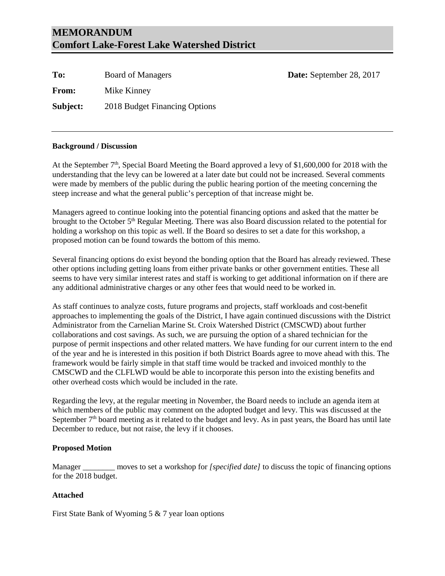## **MEMORANDUM Comfort Lake-Forest Lake Watershed District**

| To:          | <b>Board of Managers</b>      | Date: September 28, 2017 |
|--------------|-------------------------------|--------------------------|
| <b>From:</b> | Mike Kinney                   |                          |
| Subject:     | 2018 Budget Financing Options |                          |

### **Background / Discussion**

At the September  $7<sup>th</sup>$ , Special Board Meeting the Board approved a levy of \$1,600,000 for 2018 with the understanding that the levy can be lowered at a later date but could not be increased. Several comments were made by members of the public during the public hearing portion of the meeting concerning the steep increase and what the general public's perception of that increase might be.

Managers agreed to continue looking into the potential financing options and asked that the matter be brought to the October  $5<sup>th</sup>$  Regular Meeting. There was also Board discussion related to the potential for holding a workshop on this topic as well. If the Board so desires to set a date for this workshop, a proposed motion can be found towards the bottom of this memo.

Several financing options do exist beyond the bonding option that the Board has already reviewed. These other options including getting loans from either private banks or other government entities. These all seems to have very similar interest rates and staff is working to get additional information on if there are any additional administrative charges or any other fees that would need to be worked in.

As staff continues to analyze costs, future programs and projects, staff workloads and cost-benefit approaches to implementing the goals of the District, I have again continued discussions with the District Administrator from the Carnelian Marine St. Croix Watershed District (CMSCWD) about further collaborations and cost savings. As such, we are pursuing the option of a shared technician for the purpose of permit inspections and other related matters. We have funding for our current intern to the end of the year and he is interested in this position if both District Boards agree to move ahead with this. The framework would be fairly simple in that staff time would be tracked and invoiced monthly to the CMSCWD and the CLFLWD would be able to incorporate this person into the existing benefits and other overhead costs which would be included in the rate.

Regarding the levy, at the regular meeting in November, the Board needs to include an agenda item at which members of the public may comment on the adopted budget and levy. This was discussed at the September  $7<sup>th</sup>$  board meeting as it related to the budget and levy. As in past years, the Board has until late December to reduce, but not raise, the levy if it chooses.

### **Proposed Motion**

Manager \_\_\_\_\_\_\_\_ moves to set a workshop for *[specified date]* to discuss the topic of financing options for the 2018 budget.

#### **Attached**

First State Bank of Wyoming 5 & 7 year loan options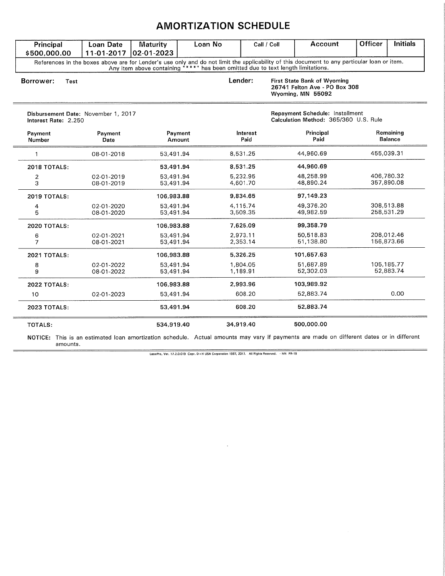## **AMORTIZATION SCHEDULE**

| Principal                                                   | <b>Loan Date</b><br>11-01-2017 | <b>Maturity</b><br>02-01-2023 | Loan No                                                                                                                                                                                 |                      | Call / Coll       | Account                                                                  | <b>Officer</b>              | <b>Initials</b>          |
|-------------------------------------------------------------|--------------------------------|-------------------------------|-----------------------------------------------------------------------------------------------------------------------------------------------------------------------------------------|----------------------|-------------------|--------------------------------------------------------------------------|-----------------------------|--------------------------|
| \$500,000.00                                                |                                |                               | References in the boxes above are for Lender's use only and do not limit the applicability of this document to any particular loan or item.                                             |                      |                   |                                                                          |                             |                          |
| Borrower:<br>Test                                           |                                |                               | Any item above containing "***" has been omitted due to text length limitations.<br>Lender:<br><b>First State Bank of Wyoming</b><br>26741 Felton Ave - PO Box 308<br>Wyoming, MN 55092 |                      |                   |                                                                          |                             |                          |
| Disbursement Date: November 1, 2017<br>Interest Rate: 2.250 |                                |                               |                                                                                                                                                                                         |                      |                   | Repayment Schedule: Installment<br>Calculation Method: 365/360 U.S. Rule |                             |                          |
| Payment<br>Number                                           | Payment<br>Date                | Payment<br>Amount             |                                                                                                                                                                                         | Interest<br>Paid     | Principal<br>Paid |                                                                          | Remaining<br><b>Balance</b> |                          |
|                                                             | 08-01-2018                     | 53,491.94                     |                                                                                                                                                                                         | 8,531.25             |                   | 44,960.69                                                                | 455,039.31                  |                          |
| <b>2018 TOTALS:</b>                                         |                                | 53,491.94                     |                                                                                                                                                                                         | 8,531.25             |                   | 44,960.69                                                                |                             |                          |
| 2<br>3                                                      | 02-01-2019<br>08-01-2019       | 53,491.94<br>53,491.94        |                                                                                                                                                                                         | 5,232.95<br>4,601.70 |                   | 48,258.99<br>48,890.24                                                   |                             | 406,780.32<br>357,890.08 |
| <b>2019 TOTALS:</b>                                         |                                | 106,983.88                    |                                                                                                                                                                                         | 9,834.65             |                   | 97,149.23                                                                |                             |                          |
| 4<br>5                                                      | 02-01-2020<br>08-01-2020       | 53,491.94<br>53,491.94        |                                                                                                                                                                                         | 4,115.74<br>3,509.35 |                   | 49,376.20<br>49,982.59                                                   |                             | 308,513.88<br>258,531.29 |
| <b>2020 TOTALS:</b>                                         |                                | 106.983.88                    |                                                                                                                                                                                         | 7,625.09             |                   | 99,358.79                                                                |                             |                          |
| 6<br>$\overline{7}$                                         | 02-01-2021<br>08-01-2021       | 53,491.94<br>53,491.94        |                                                                                                                                                                                         | 2,973.11<br>2,353.14 |                   | 50,518.83<br>51,138.80                                                   |                             | 208,012.46<br>156,873.66 |
| <b>2021 TOTALS:</b>                                         |                                | 106,983.88                    |                                                                                                                                                                                         | 5,326.25             |                   | 101,657.63                                                               |                             |                          |
| 8<br>9                                                      | 02-01-2022<br>08-01-2022       | 53,491.94<br>53,491.94        |                                                                                                                                                                                         | 1,804.05<br>1,189.91 |                   | 51.687.89<br>52,302.03                                                   |                             | 105,185.77<br>52,883.74  |
| <b>2022 TOTALS:</b>                                         |                                | 106,983.88                    |                                                                                                                                                                                         | 2.993.96             |                   | 103,989.92                                                               |                             |                          |
| 10                                                          | 02-01-2023                     | 53,491.94                     |                                                                                                                                                                                         | 608.20               |                   | 52,883.74                                                                |                             | 0.00                     |
| <b>2023 TOTALS:</b>                                         |                                | 53,491.94                     |                                                                                                                                                                                         | 608.20               |                   | 52,883.74                                                                |                             |                          |
| TOTALS:                                                     |                                | 534,919.40                    |                                                                                                                                                                                         | 34,919.40            |                   | 500,000.00                                                               |                             |                          |

NOTICE: This is an estimated loan amortization schedule. Actual amounts may vary if payments are made on different dates or in different amounts.

LaserPro, Ver. 17.2.0.019 Copr. D+H USA Corporation 1997, 2017. All Rights Raserved. - MN PR-18

 $\lambda$